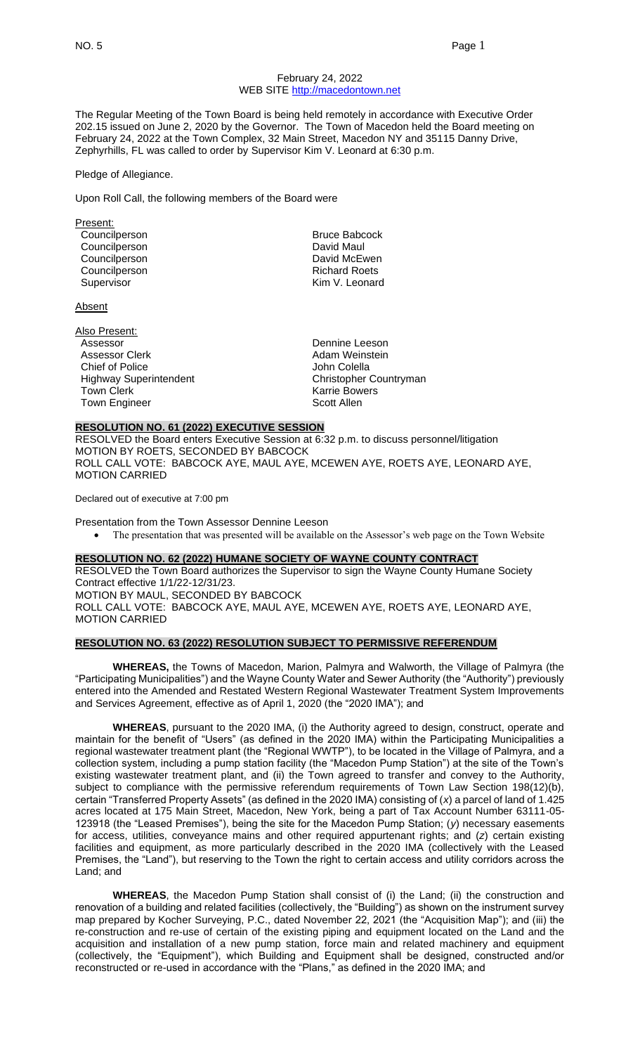### February 24, 2022 WEB SITE [http://macedontown.net](http://macedontown.net/)

The Regular Meeting of the Town Board is being held remotely in accordance with Executive Order 202.15 issued on June 2, 2020 by the Governor. The Town of Macedon held the Board meeting on February 24, 2022 at the Town Complex, 32 Main Street, Macedon NY and 35115 Danny Drive, Zephyrhills, FL was called to order by Supervisor Kim V. Leonard at 6:30 p.m.

#### Pledge of Allegiance.

Upon Roll Call, the following members of the Board were

| Present:      |                      |
|---------------|----------------------|
| Councilperson | <b>Bruce Babcock</b> |
| Councilperson | David Maul           |
| Councilperson | David McEwen         |
| Councilperson | <b>Richard Roets</b> |
| Supervisor    | Kim V. Leonard       |
|               |                      |

Absent

| Also Present:                 |                        |
|-------------------------------|------------------------|
| Assessor                      | Dennine Leeson         |
| Assessor Clerk                | Adam Weinstein         |
| <b>Chief of Police</b>        | John Colella           |
| <b>Highway Superintendent</b> | Christopher Countryman |
| <b>Town Clerk</b>             | <b>Karrie Bowers</b>   |
| <b>Town Engineer</b>          | Scott Allen            |

## **RESOLUTION NO. 61 (2022) EXECUTIVE SESSION**

RESOLVED the Board enters Executive Session at 6:32 p.m. to discuss personnel/litigation MOTION BY ROETS, SECONDED BY BABCOCK ROLL CALL VOTE: BABCOCK AYE, MAUL AYE, MCEWEN AYE, ROETS AYE, LEONARD AYE, MOTION CARRIED

Declared out of executive at 7:00 pm

Presentation from the Town Assessor Dennine Leeson

• The presentation that was presented will be available on the Assessor's web page on the Town Website

### **RESOLUTION NO. 62 (2022) HUMANE SOCIETY OF WAYNE COUNTY CONTRACT**

RESOLVED the Town Board authorizes the Supervisor to sign the Wayne County Humane Society Contract effective 1/1/22-12/31/23. MOTION BY MAUL, SECONDED BY BABCOCK ROLL CALL VOTE: BABCOCK AYE, MAUL AYE, MCEWEN AYE, ROETS AYE, LEONARD AYE, MOTION CARRIED

### **RESOLUTION NO. 63 (2022) RESOLUTION SUBJECT TO PERMISSIVE REFERENDUM**

**WHEREAS,** the Towns of Macedon, Marion, Palmyra and Walworth, the Village of Palmyra (the "Participating Municipalities") and the Wayne County Water and Sewer Authority (the "Authority") previously entered into the Amended and Restated Western Regional Wastewater Treatment System Improvements and Services Agreement, effective as of April 1, 2020 (the "2020 IMA"); and

**WHEREAS**, pursuant to the 2020 IMA, (i) the Authority agreed to design, construct, operate and maintain for the benefit of "Users" (as defined in the 2020 IMA) within the Participating Municipalities a regional wastewater treatment plant (the "Regional WWTP"), to be located in the Village of Palmyra, and a collection system, including a pump station facility (the "Macedon Pump Station") at the site of the Town's existing wastewater treatment plant, and (ii) the Town agreed to transfer and convey to the Authority, subject to compliance with the permissive referendum requirements of Town Law Section 198(12)(b), certain "Transferred Property Assets" (as defined in the 2020 IMA) consisting of (*x*) a parcel of land of 1.425 acres located at 175 Main Street, Macedon, New York, being a part of Tax Account Number 63111-05- 123918 (the "Leased Premises"), being the site for the Macedon Pump Station; (*y*) necessary easements for access, utilities, conveyance mains and other required appurtenant rights; and (*z*) certain existing facilities and equipment, as more particularly described in the 2020 IMA (collectively with the Leased Premises, the "Land"), but reserving to the Town the right to certain access and utility corridors across the Land; and

**WHEREAS**, the Macedon Pump Station shall consist of (i) the Land; (ii) the construction and renovation of a building and related facilities (collectively, the "Building") as shown on the instrument survey map prepared by Kocher Surveying, P.C., dated November 22, 2021 (the "Acquisition Map"); and (iii) the re-construction and re-use of certain of the existing piping and equipment located on the Land and the acquisition and installation of a new pump station, force main and related machinery and equipment (collectively, the "Equipment"), which Building and Equipment shall be designed, constructed and/or reconstructed or re-used in accordance with the "Plans," as defined in the 2020 IMA; and